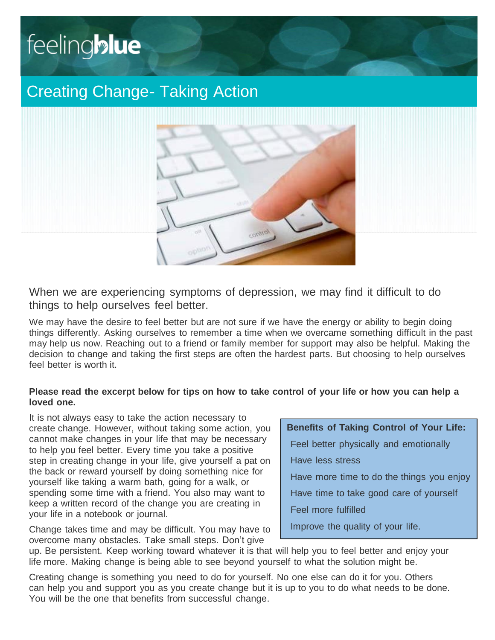# feeling**blue**

# Creating Change- Taking Action



When we are experiencing symptoms of depression, we may find it difficult to do things to help ourselves feel better.

We may have the desire to feel better but are not sure if we have the energy or ability to begin doing things differently. Asking ourselves to remember a time when we overcame something difficult in the past may help us now. Reaching out to a friend or family member for support may also be helpful. Making the decision to change and taking the first steps are often the hardest parts. But choosing to help ourselves feel better is worth it.

## **Please read the excerpt below for tips on how to take control of your life or how you can help a loved one.**

It is not always easy to take the action necessary to create change. However, without taking some action, you cannot make changes in your life that may be necessary to help you feel better. Every time you take a positive step in creating change in your life, give yourself a pat on the back or reward yourself by doing something nice for yourself like taking a warm bath, going for a walk, or spending some time with a friend. You also may want to keep a written record of the change you are creating in your life in a notebook or journal.

Change takes time and may be difficult. You may have to overcome many obstacles. Take small steps. Don't give

# **Benefits of Taking Control of Your Life:**

Feel better physically and emotionally

Have less stress

Have more time to do the things you enjoy

Have time to take good care of yourself

Feel more fulfilled

Improve the quality of your life.

up. Be persistent. Keep working toward whatever it is that will help you to feel better and enjoy your life more. Making change is being able to see beyond yourself to what the solution might be.

Creating change is something you need to do for yourself. No one else can do it for you. Others can help you and support you as you create change but it is up to you to do what needs to be done. You will be the one that benefits from successful change.